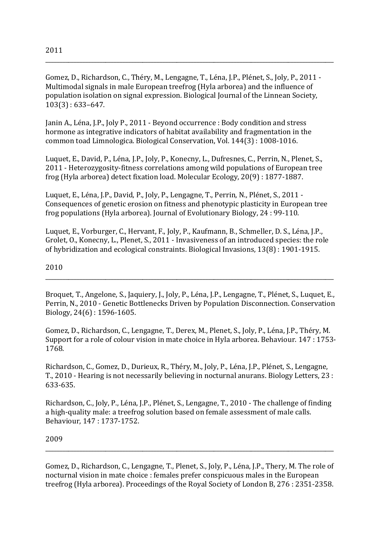Gomez, D., Richardson, C., Théry, M., Lengagne, T., Léna, J.P., Plénet, S., Joly, P., 2011 -Multimodal signals in male European treefrog (Hyla arborea) and the influence of population isolation on signal expression. Biological Journal of the Linnean Society,  $103(3): 633-647.$ 

Janin A., Léna, J.P., Joly P., 2011 - Beyond occurrence : Body condition and stress hormone as integrative indicators of habitat availability and fragmentation in the common toad Limnologica. Biological Conservation, Vol. 144(3): 1008-1016.

Luquet, E., David, P., Léna, J.P., Joly, P., Konecny, L., Dufresnes, C., Perrin, N., Plenet, S., 2011 - Heterozygosity-fitness correlations among wild populations of European tree frog (Hyla arborea) detect fixation load. Molecular Ecology, 20(9): 1877-1887.

Luquet, E., Léna, J.P., David, P., Joly, P., Lengagne, T., Perrin, N., Plénet, S., 2011 -Consequences of genetic erosion on fitness and phenotypic plasticity in European tree frog populations (Hyla arborea). Journal of Evolutionary Biology, 24: 99-110.

Luquet, E., Vorburger, C., Hervant, F., Joly, P., Kaufmann, B., Schmeller, D. S., Léna, J.P., Grolet, O., Konecny, L., Plenet, S., 2011 - Invasiveness of an introduced species: the role of hybridization and ecological constraints. Biological Invasions, 13(8): 1901-1915.

## 2010

Broquet, T., Angelone, S., Jaquiery, J., Joly, P., Léna, J.P., Lengagne, T., Plénet, S., Luquet, E., Perrin, N., 2010 - Genetic Bottlenecks Driven by Population Disconnection. Conservation Biology, 24(6): 1596-1605.

Gomez, D., Richardson, C., Lengagne, T., Derex, M., Plenet, S., Joly, P., Léna, J.P., Théry, M. Support for a role of colour vision in mate choice in Hyla arborea. Behaviour. 147 : 1753-1768.

Richardson, C., Gomez, D., Durieux, R., Théry, M., Joly, P., Léna, J.P., Plénet, S., Lengagne, T., 2010 - Hearing is not necessarily believing in nocturnal anurans. Biology Letters, 23 : 633-635.

Richardson, C., Joly, P., Léna, J.P., Plénet, S., Lengagne, T., 2010 - The challenge of finding a high-quality male: a treefrog solution based on female assessment of male calls. Behaviour, 147: 1737-1752.

## 2009

Gomez, D., Richardson, C., Lengagne, T., Plenet, S., Joly, P., Léna, J.P., Thery, M. The role of nocturnal vision in mate choice : females prefer conspicuous males in the European treefrog (Hyla arborea). Proceedings of the Royal Society of London B, 276: 2351-2358.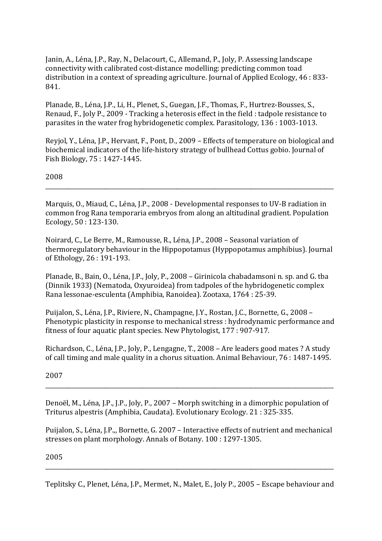Janin, A., Léna, J.P., Ray, N., Delacourt, C., Allemand, P., Joly, P. Assessing landscape connectivity with calibrated cost-distance modelling: predicting common toad distribution in a context of spreading agriculture. Journal of Applied Ecology, 46:833-841.

Planade, B., Léna, J.P., Li, H., Plenet, S., Guegan, J.F., Thomas, F., Hurtrez-Bousses, S., Renaud, F., Joly P., 2009 - Tracking a heterosis effect in the field : tadpole resistance to parasites in the water frog hybridogenetic complex. Parasitology, 136: 1003-1013.

Reviol, Y., Léna, J.P., Hervant, F., Pont, D., 2009 – Effects of temperature on biological and biochemical indicators of the life-history strategy of bullhead Cottus gobio. Journal of Fish Biology, 75: 1427-1445.

2008

Marquis, O., Miaud, C., Léna, J.P., 2008 - Developmental responses to UV-B radiation in common frog Rana temporaria embryos from along an altitudinal gradient. Population Ecology, 50: 123-130.

Noirard, C., Le Berre, M., Ramousse, R., Léna, J.P., 2008 - Seasonal variation of thermoregulatory behaviour in the Hippopotamus (Hyppopotamus amphibius). Journal of Ethology, 26:191-193.

Planade, B., Bain, O., Léna, J.P., Joly, P., 2008 - Girinicola chabadamsoni n. sp. and G. tba (Dinnik 1933) (Nematoda, Oxyuroidea) from tadpoles of the hybridogenetic complex Rana lessonae-esculenta (Amphibia, Ranoidea). Zootaxa, 1764 : 25-39.

Puijalon, S., Léna, J.P., Riviere, N., Champagne, J.Y., Rostan, J.C., Bornette, G., 2008 -Phenotypic plasticity in response to mechanical stress : hydrodynamic performance and fitness of four aquatic plant species. New Phytologist, 177: 907-917.

Richardson, C., Léna, J.P., Joly, P., Lengagne, T., 2008 - Are leaders good mates ? A study of call timing and male quality in a chorus situation. Animal Behaviour, 76: 1487-1495.

2007

Denoël, M., Léna, J.P., J.P., Joly, P., 2007 - Morph switching in a dimorphic population of Triturus alpestris (Amphibia, Caudata). Evolutionary Ecology. 21: 325-335.

Puijalon, S., Léna, J.P.,, Bornette, G. 2007 - Interactive effects of nutrient and mechanical stresses on plant morphology. Annals of Botany. 100: 1297-1305.

2005

Teplitsky C., Plenet, Léna, J.P., Mermet, N., Malet, E., Joly P., 2005 - Escape behaviour and